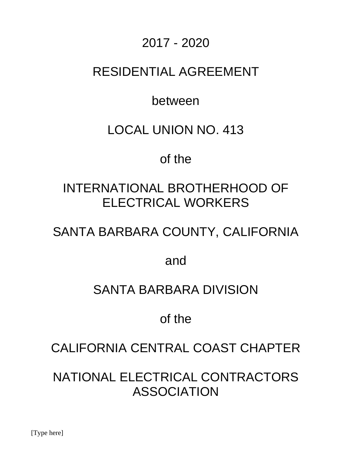## 2017 - 2020

## RESIDENTIAL AGREEMENT

## between

## LOCAL UNION NO. 413

## of the

# INTERNATIONAL BROTHERHOOD OF ELECTRICAL WORKERS

# SANTA BARBARA COUNTY, CALIFORNIA

and

## SANTA BARBARA DIVISION

# of the

## CALIFORNIA CENTRAL COAST CHAPTER

NATIONAL ELECTRICAL CONTRACTORS ASSOCIATION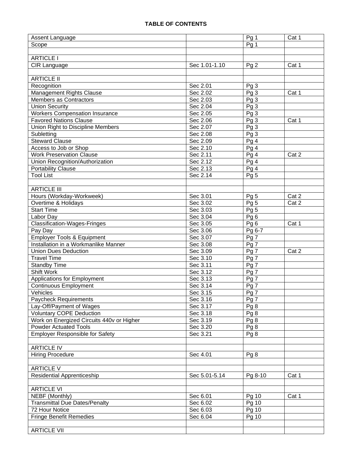| Assent Language                           |               | Pg 1            | Cat 1 |
|-------------------------------------------|---------------|-----------------|-------|
| Scope                                     |               | Pg 1            |       |
|                                           |               |                 |       |
| <b>ARTICLE I</b>                          |               |                 |       |
| CIR Language                              | Sec 1.01-1.10 | Pg <sub>2</sub> | Cat 1 |
|                                           |               |                 |       |
| <b>ARTICLE II</b>                         |               |                 |       |
| Recognition                               | Sec 2.01      | Pg <sub>3</sub> |       |
| Management Rights Clause                  | Sec 2.02      | Pg <sub>3</sub> | Cat 1 |
| Members as Contractors                    | Sec 2.03      | Pg <sub>3</sub> |       |
| <b>Union Security</b>                     | Sec 2.04      | Pg <sub>3</sub> |       |
| <b>Workers Compensation Insurance</b>     | Sec 2.05      | Pg <sub>3</sub> |       |
| <b>Favored Nations Clause</b>             | Sec 2.06      | Pg <sub>3</sub> | Cat 1 |
| Union Right to Discipline Members         | Sec 2.07      | Pg <sub>3</sub> |       |
| Subletting                                | Sec 2.08      | Pg <sub>3</sub> |       |
| <b>Steward Clause</b>                     | Sec 2.09      | Pg <sub>4</sub> |       |
| Access to Job or Shop                     | Sec 2.10      | Pg <sub>4</sub> |       |
| <b>Work Preservation Clause</b>           | Sec 2.11      | Pg 4            | Cat 2 |
| Union Recognition/Authorization           | Sec 2.12      | Pg4             |       |
| <b>Portability Clause</b>                 | Sec 2.13      | Pg <sub>4</sub> |       |
| <b>Tool List</b>                          | Sec 2.14      | Pg <sub>5</sub> |       |
|                                           |               |                 |       |
| <b>ARTICLE III</b>                        |               |                 |       |
| Hours (Workday-Workweek)                  | Sec 3.01      | Pg <sub>5</sub> | Cat 2 |
| Overtime & Holidays                       | Sec 3.02      | Pg <sub>5</sub> | Cat 2 |
| <b>Start Time</b>                         | Sec 3.03      | Pg <sub>5</sub> |       |
| Labor Day                                 | Sec 3.04      | Pg6             |       |
| <b>Classification-Wages-Fringes</b>       | Sec 3.05      | Pg <sub>6</sub> | Cat 1 |
| Pay Day                                   | Sec 3.06      | Pg 6-7          |       |
| <b>Employer Tools &amp; Equipment</b>     | Sec 3.07      | Pg 7            |       |
| Installation in a Workmanlike Manner      | Sec 3.08      | $Pg\bar{7}$     |       |
| <b>Union Dues Deduction</b>               | Sec 3.09      | $Pg\bar{7}$     | Cat 2 |
| <b>Travel Time</b>                        | Sec 3.10      | Pg 7            |       |
| Standby Time                              | Sec 3.11      | Pg 7            |       |
| Shift Work                                | Sec 3.12      | Pg 7            |       |
| Applications for Employment               | Sec 3.13      | Pg 7            |       |
| <b>Continuous Employment</b>              | Sec 3.14      | Pg 7            |       |
| Vehicles                                  | Sec 3.15      | Pg7             |       |
| <b>Paycheck Requirements</b>              | Sec 3.16      | Pg 7            |       |
| Lay-Off/Payment of Wages                  | Sec 3.17      | Pg <sub>8</sub> |       |
| <b>Voluntary COPE Deduction</b>           | Sec 3.18      | Pg 8            |       |
| Work on Energized Circuits 440v or Higher | Sec 3.19      | Pg <sub>8</sub> |       |
| <b>Powder Actuated Tools</b>              | Sec 3.20      | Pg <sub>8</sub> |       |
| <b>Employer Responsible for Safety</b>    | Sec 3.21      | Pg 8            |       |
|                                           |               |                 |       |
| <b>ARTICLE IV</b>                         |               |                 |       |
| <b>Hiring Procedure</b>                   | Sec 4.01      | Pg 8            |       |
|                                           |               |                 |       |
| <b>ARTICLE V</b>                          |               |                 |       |
| <b>Residential Apprenticeship</b>         | Sec 5.01-5.14 | Pg 8-10         | Cat 1 |
|                                           |               |                 |       |
| <b>ARTICLE VI</b>                         |               |                 |       |
| NEBF (Monthly)                            | Sec 6.01      | Pg 10           | Cat 1 |
| <b>Transmittal Due Dates/Penalty</b>      | Sec 6.02      | Pg 10           |       |
| 72 Hour Notice                            | Sec 6.03      | Pg 10           |       |
| <b>Fringe Benefit Remedies</b>            | Sec 6.04      | Pg 10           |       |
|                                           |               |                 |       |
| <b>ARTICLE VII</b>                        |               |                 |       |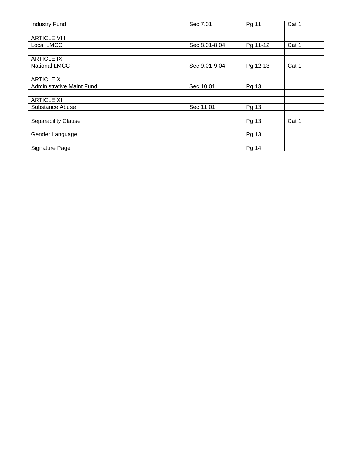| <b>Industry Fund</b>             | Sec 7.01      | Pg 11    | Cat 1 |
|----------------------------------|---------------|----------|-------|
|                                  |               |          |       |
| <b>ARTICLE VIII</b>              |               |          |       |
| Local LMCC                       | Sec 8.01-8.04 | Pg 11-12 | Cat 1 |
|                                  |               |          |       |
| <b>ARTICLE IX</b>                |               |          |       |
| <b>National LMCC</b>             | Sec 9.01-9.04 | Pg 12-13 | Cat 1 |
|                                  |               |          |       |
| <b>ARTICLE X</b>                 |               |          |       |
| <b>Administrative Maint Fund</b> | Sec 10.01     | Pg 13    |       |
|                                  |               |          |       |
| <b>ARTICLE XI</b>                |               |          |       |
| Substance Abuse                  | Sec 11.01     | Pg 13    |       |
|                                  |               |          |       |
| <b>Separability Clause</b>       |               | Pg 13    | Cat 1 |
|                                  |               |          |       |
| Gender Language                  |               | Pg 13    |       |
|                                  |               |          |       |
| Signature Page                   |               | Pg 14    |       |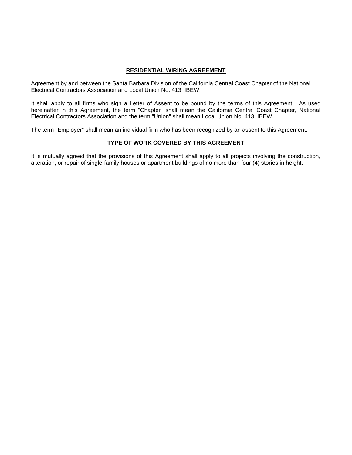## **RESIDENTIAL WIRING AGREEMENT**

Agreement by and between the Santa Barbara Division of the California Central Coast Chapter of the National Electrical Contractors Association and Local Union No. 413, IBEW.

It shall apply to all firms who sign a Letter of Assent to be bound by the terms of this Agreement. As used hereinafter in this Agreement, the term "Chapter" shall mean the California Central Coast Chapter, National Electrical Contractors Association and the term "Union" shall mean Local Union No. 413, IBEW.

The term "Employer" shall mean an individual firm who has been recognized by an assent to this Agreement.

## **TYPE OF WORK COVERED BY THIS AGREEMENT**

It is mutually agreed that the provisions of this Agreement shall apply to all projects involving the construction, alteration, or repair of single-family houses or apartment buildings of no more than four (4) stories in height.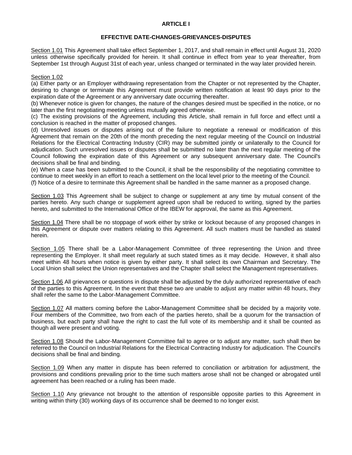## **ARTICLE I**

## **EFFECTIVE DATE-CHANGES-GRIEVANCES-DISPUTES**

Section 1.01 This Agreement shall take effect September 1, 2017, and shall remain in effect until August 31, 2020 unless otherwise specifically provided for herein. It shall continue in effect from year to year thereafter, from September 1st through August 31st of each year, unless changed or terminated in the way later provided herein.

### Section 1.02

(a) Either party or an Employer withdrawing representation from the Chapter or not represented by the Chapter, desiring to change or terminate this Agreement must provide written notification at least 90 days prior to the expiration date of the Agreement or any anniversary date occurring thereafter.

(b) Whenever notice is given for changes, the nature of the changes desired must be specified in the notice, or no later than the first negotiating meeting unless mutually agreed otherwise.

(c) The existing provisions of the Agreement, including this Article, shall remain in full force and effect until a conclusion is reached in the matter of proposed changes.

(d) Unresolved issues or disputes arising out of the failure to negotiate a renewal or modification of this Agreement that remain on the 20th of the month preceding the next regular meeting of the Council on Industrial Relations for the Electrical Contracting Industry (CIR) may be submitted jointly or unilaterally to the Council for adjudication. Such unresolved issues or disputes shall be submitted no later than the next regular meeting of the Council following the expiration date of this Agreement or any subsequent anniversary date. The Council's decisions shall be final and binding.

(e) When a case has been submitted to the Council, it shall be the responsibility of the negotiating committee to continue to meet weekly in an effort to reach a settlement on the local level prior to the meeting of the Council.

(f) Notice of a desire to terminate this Agreement shall be handled in the same manner as a proposed change.

Section 1.03 This Agreement shall be subject to change or supplement at any time by mutual consent of the parties hereto. Any such change or supplement agreed upon shall be reduced to writing, signed by the parties hereto, and submitted to the International Office of the IBEW for approval, the same as this Agreement.

Section 1.04 There shall be no stoppage of work either by strike or lockout because of any proposed changes in this Agreement or dispute over matters relating to this Agreement. All such matters must be handled as stated herein.

Section 1.05 There shall be a Labor-Management Committee of three representing the Union and three representing the Employer. It shall meet regularly at such stated times as it may decide. However, it shall also meet within 48 hours when notice is given by either party. It shall select its own Chairman and Secretary. The Local Union shall select the Union representatives and the Chapter shall select the Management representatives.

Section 1.06 All grievances or questions in dispute shall be adjusted by the duly authorized representative of each of the parties to this Agreement. In the event that these two are unable to adjust any matter within 48 hours, they shall refer the same to the Labor-Management Committee.

Section 1.07 All matters coming before the Labor-Management Committee shall be decided by a majority vote. Four members of the Committee, two from each of the parties hereto, shall be a quorum for the transaction of business, but each party shall have the right to cast the full vote of its membership and it shall be counted as though all were present and voting.

Section 1.08 Should the Labor-Management Committee fail to agree or to adjust any matter, such shall then be referred to the Council on Industrial Relations for the Electrical Contracting Industry for adjudication. The Council's decisions shall be final and binding.

Section 1.09 When any matter in dispute has been referred to conciliation or arbitration for adjustment, the provisions and conditions prevailing prior to the time such matters arose shall not be changed or abrogated until agreement has been reached or a ruling has been made.

Section 1.10 Any grievance not brought to the attention of responsible opposite parties to this Agreement in writing within thirty (30) working days of its occurrence shall be deemed to no longer exist.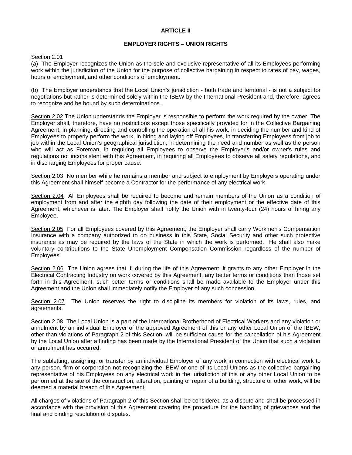### **ARTICLE II**

### **EMPLOYER RIGHTS – UNION RIGHTS**

#### Section 2.01

(a) The Employer recognizes the Union as the sole and exclusive representative of all its Employees performing work within the jurisdiction of the Union for the purpose of collective bargaining in respect to rates of pay, wages, hours of employment, and other conditions of employment.

(b) The Employer understands that the Local Union's jurisdiction - both trade and territorial - is not a subject for negotiations but rather is determined solely within the IBEW by the International President and, therefore, agrees to recognize and be bound by such determinations.

Section 2.02 The Union understands the Employer is responsible to perform the work required by the owner. The Employer shall, therefore, have no restrictions except those specifically provided for in the Collective Bargaining Agreement, in planning, directing and controlling the operation of all his work, in deciding the number and kind of Employees to properly perform the work, in hiring and laying off Employees, in transferring Employees from job to job within the Local Union's geographical jurisdiction, in determining the need and number as well as the person who will act as Foreman, in requiring all Employees to observe the Employer's and/or owner's rules and regulations not inconsistent with this Agreement, in requiring all Employees to observe all safety regulations, and in discharging Employees for proper cause.

Section 2.03 No member while he remains a member and subject to employment by Employers operating under this Agreement shall himself become a Contractor for the performance of any electrical work.

Section 2.04 All Employees shall be required to become and remain members of the Union as a condition of employment from and after the eighth day following the date of their employment or the effective date of this Agreement, whichever is later. The Employer shall notify the Union with in twenty-four (24) hours of hiring any Employee.

Section 2.05 For all Employees covered by this Agreement, the Employer shall carry Workmen's Compensation Insurance with a company authorized to do business in this State, Social Security and other such protective insurance as may be required by the laws of the State in which the work is performed. He shall also make voluntary contributions to the State Unemployment Compensation Commission regardless of the number of Employees.

Section 2.06 The Union agrees that if, during the life of this Agreement, it grants to any other Employer in the Electrical Contracting Industry on work covered by this Agreement, any better terms or conditions than those set forth in this Agreement, such better terms or conditions shall be made available to the Employer under this Agreement and the Union shall immediately notify the Employer of any such concession.

Section 2.07 The Union reserves the right to discipline its members for violation of its laws, rules, and agreements.

Section 2.08 The Local Union is a part of the International Brotherhood of Electrical Workers and any violation or annulment by an individual Employer of the approved Agreement of this or any other Local Union of the IBEW, other than violations of Paragraph 2 of this Section, will be sufficient cause for the cancellation of his Agreement by the Local Union after a finding has been made by the International President of the Union that such a violation or annulment has occurred.

The subletting, assigning, or transfer by an individual Employer of any work in connection with electrical work to any person, firm or corporation not recognizing the IBEW or one of its Local Unions as the collective bargaining representative of his Employees on any electrical work in the jurisdiction of this or any other Local Union to be performed at the site of the construction, alteration, painting or repair of a building, structure or other work, will be deemed a material breach of this Agreement.

All charges of violations of Paragraph 2 of this Section shall be considered as a dispute and shall be processed in accordance with the provision of this Agreement covering the procedure for the handling of grievances and the final and binding resolution of disputes.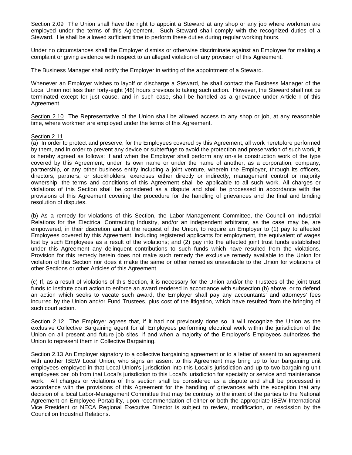Section 2.09 The Union shall have the right to appoint a Steward at any shop or any job where workmen are employed under the terms of this Agreement. Such Steward shall comply with the recognized duties of a Steward. He shall be allowed sufficient time to perform these duties during regular working hours.

Under no circumstances shall the Employer dismiss or otherwise discriminate against an Employee for making a complaint or giving evidence with respect to an alleged violation of any provision of this Agreement.

The Business Manager shall notify the Employer in writing of the appointment of a Steward.

Whenever an Employer wishes to layoff or discharge a Steward, he shall contact the Business Manager of the Local Union not less than forty-eight (48) hours previous to taking such action. However, the Steward shall not be terminated except for just cause, and in such case, shall be handled as a grievance under Article I of this Agreement.

Section 2.10 The Representative of the Union shall be allowed access to any shop or job, at any reasonable time, where workmen are employed under the terms of this Agreement.

#### Section 2.11

(a) In order to protect and preserve, for the Employees covered by this Agreement, all work heretofore performed by them, and in order to prevent any device or subterfuge to avoid the protection and preservation of such work, it is hereby agreed as follows: If and when the Employer shall perform any on-site construction work of the type covered by this Agreement, under its own name or under the name of another, as a corporation, company, partnership, or any other business entity including a joint venture, wherein the Employer, through its officers, directors, partners, or stockholders, exercises either directly or indirectly, management control or majority ownership, the terms and conditions of this Agreement shall be applicable to all such work. All charges or violations of this Section shall be considered as a dispute and shall be processed in accordance with the provisions of this Agreement covering the procedure for the handling of grievances and the final and binding resolution of disputes.

(b) As a remedy for violations of this Section, the Labor-Management Committee, the Council on Industrial Relations for the Electrical Contracting Industry, and/or an independent arbitrator, as the case may be, are empowered, in their discretion and at the request of the Union, to require an Employer to (1) pay to affected Employees covered by this Agreement, including registered applicants for employment, the equivalent of wages lost by such Employees as a result of the violations; and (2) pay into the affected joint trust funds established under this Agreement any delinquent contributions to such funds which have resulted from the violations. Provision for this remedy herein does not make such remedy the exclusive remedy available to the Union for violation of this Section nor does it make the same or other remedies unavailable to the Union for violations of other Sections or other Articles of this Agreement.

(c) If, as a result of violations of this Section, it is necessary for the Union and/or the Trustees of the joint trust funds to institute court action to enforce an award rendered in accordance with subsection (b) above, or to defend an action which seeks to vacate such award, the Employer shall pay any accountants' and attorneys' fees incurred by the Union and/or Fund Trustees, plus cost of the litigation, which have resulted from the bringing of such court action.

Section 2.12 The Employer agrees that, if it had not previously done so, it will recognize the Union as the exclusive Collective Bargaining agent for all Employees performing electrical work within the jurisdiction of the Union on all present and future job sites, if and when a majority of the Employer's Employees authorizes the Union to represent them in Collective Bargaining.

Section 2.13 An Employer signatory to a collective bargaining agreement or to a letter of assent to an agreement with another IBEW Local Union, who signs an assent to this Agreement may bring up to four bargaining unit employees employed in that Local Union's jurisdiction into this Local's jurisdiction and up to two bargaining unit employees per job from that Local's jurisdiction to this Local's jurisdiction for specialty or service and maintenance work. All charges or violations of this section shall be considered as a dispute and shall be processed in accordance with the provisions of this Agreement for the handling of grievances with the exception that any decision of a local Labor-Management Committee that may be contrary to the intent of the parties to the National Agreement on Employee Portability, upon recommendation of either or both the appropriate IBEW International Vice President or NECA Regional Executive Director is subject to review, modification, or rescission by the Council on Industrial Relations.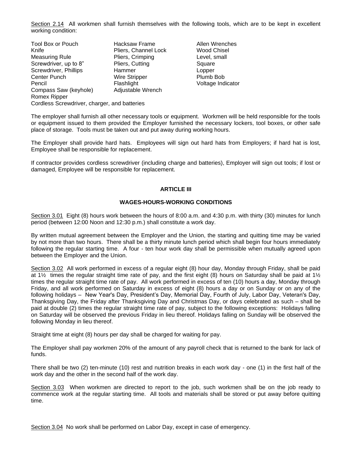Section 2.14 All workmen shall furnish themselves with the following tools, which are to be kept in excellent working condition:

| <b>Tool Box or Pouch</b>                     | <b>Hacksaw Frame</b> | Allen W  |
|----------------------------------------------|----------------------|----------|
| Knife                                        | Pliers, Channel Lock | Wood (   |
| <b>Measuring Rule</b>                        | Pliers, Crimping     | Level, s |
| Screwdriver, up to 8"                        | Pliers, Cutting      | Square   |
| Screwdriver, Phillips                        | Hammer               | Lopper   |
| Center Punch                                 | <b>Wire Stripper</b> | Plumb    |
| Pencil                                       | Flashlight           | Voltage  |
| Compass Saw (keyhole)                        | Adjustable Wrench    |          |
| Romex Ripper                                 |                      |          |
| Cordless Screwdriver, charger, and batteries |                      |          |
|                                              |                      |          |

Allen Wrenches Wood Chisel Level, small Plumb Bob Voltage Indicator

The employer shall furnish all other necessary tools or equipment. Workmen will be held responsible for the tools or equipment issued to them provided the Employer furnished the necessary lockers, tool boxes, or other safe place of storage. Tools must be taken out and put away during working hours.

The Employer shall provide hard hats. Employees will sign out hard hats from Employers; if hard hat is lost, Employee shall be responsible for replacement.

If contractor provides cordless screwdriver (including charge and batteries), Employer will sign out tools; if lost or damaged, Employee will be responsible for replacement.

## **ARTICLE III**

## **WAGES-HOURS-WORKING CONDITIONS**

Section 3.01 Eight (8) hours work between the hours of 8:00 a.m. and 4:30 p.m. with thirty (30) minutes for lunch period (between 12:00 Noon and 12:30 p.m.) shall constitute a work day.

By written mutual agreement between the Employer and the Union, the starting and quitting time may be varied by not more than two hours. There shall be a thirty minute lunch period which shall begin four hours immediately following the regular starting time. A four - ten hour work day shall be permissible when mutually agreed upon between the Employer and the Union.

Section 3.02 All work performed in excess of a regular eight (8) hour day, Monday through Friday, shall be paid at 1½ times the regular straight time rate of pay, and the first eight (8) hours on Saturday shall be paid at 1½ times the regular straight time rate of pay. All work performed in excess of ten (10) hours a day, Monday through Friday, and all work performed on Saturday in excess of eight (8) hours a day or on Sunday or on any of the following holidays – New Year's Day, President's Day, Memorial Day, Fourth of July, Labor Day, Veteran's Day, Thanksgiving Day, the Friday after Thanksgiving Day and Christmas Day, or days celebrated as such – shall be paid at double (2) times the regular straight time rate of pay, subject to the following exceptions: Holidays falling on Saturday will be observed the previous Friday in lieu thereof. Holidays falling on Sunday will be observed the following Monday in lieu thereof.

Straight time at eight (8) hours per day shall be charged for waiting for pay.

The Employer shall pay workmen 20% of the amount of any payroll check that is returned to the bank for lack of funds.

There shall be two (2) ten-minute (10) rest and nutrition breaks in each work day - one (1) in the first half of the work day and the other in the second half of the work day.

Section 3.03 When workmen are directed to report to the job, such workmen shall be on the job ready to commence work at the regular starting time. All tools and materials shall be stored or put away before quitting time.

Section 3.04 No work shall be performed on Labor Day, except in case of emergency.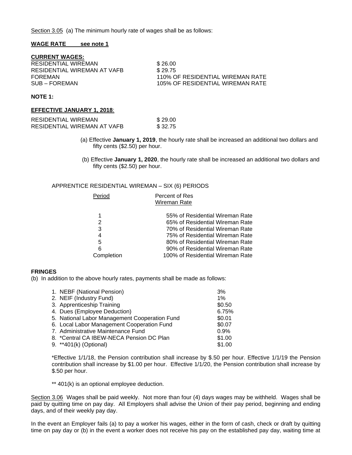Section 3.05 (a) The minimum hourly rate of wages shall be as follows:

#### **WAGE RATE see note 1**

**CURRENT WAGES:**

| RESIDENTIAL WIREMAN         | \$26.00                          |
|-----------------------------|----------------------------------|
| RESIDENTIAL WIREMAN AT VAFB | \$29.75                          |
| FOREMAN                     | 110% OF RESIDENTIAL WIREMAN RATE |
| SUB – FOREMAN               | 105% OF RESIDENTIAL WIREMAN RATE |
|                             |                                  |

#### **NOTE 1:**

#### **EFFECTIVE JANUARY 1, 2018**:

| RESIDENTIAL WIREMAN         | \$29.00 |
|-----------------------------|---------|
| RESIDENTIAL WIREMAN AT VAFB | \$32.75 |

- (a) Effective **January 1, 2019**, the hourly rate shall be increased an additional two dollars and fifty cents (\$2.50) per hour.
- (b) Effective **January 1, 2020**, the hourly rate shall be increased an additional two dollars and fifty cents (\$2.50) per hour.

#### APPRENTICE RESIDENTIAL WIREMAN – SIX (6) PERIODS

| Period     | Percent of Res                   |
|------------|----------------------------------|
|            | Wireman Rate                     |
|            |                                  |
| 1          | 55% of Residential Wireman Rate  |
| 2          | 65% of Residential Wireman Rate  |
| 3          | 70% of Residential Wireman Rate  |
| 4          | 75% of Residential Wireman Rate  |
| 5          | 80% of Residential Wireman Rate  |
| 6          | 90% of Residential Wireman Rate  |
| Completion | 100% of Residential Wireman Rate |
|            |                                  |

## **FRINGES**

(b) In addition to the above hourly rates, payments shall be made as follows:

| 1. NEBF (National Pension)                    | 3%     |
|-----------------------------------------------|--------|
| 2. NEIF (Industry Fund)                       | $1\%$  |
| 3. Apprenticeship Training                    | \$0.50 |
| 4. Dues (Employee Deduction)                  | 6.75%  |
| 5. National Labor Management Cooperation Fund | \$0.01 |
| 6. Local Labor Management Cooperation Fund    | \$0.07 |
| 7. Administrative Maintenance Fund            | 0.9%   |
| 8. *Central CA IBEW-NECA Pension DC Plan      | \$1.00 |
| 9. **401(k) (Optional)                        | \$1.00 |
|                                               |        |

\*Effective 1/1/18, the Pension contribution shall increase by \$.50 per hour. Effective 1/1/19 the Pension contribution shall increase by \$1.00 per hour. Effective 1/1/20, the Pension contribution shall increase by \$.50 per hour.

\*\* 401(k) is an optional employee deduction.

Section 3.06 Wages shall be paid weekly. Not more than four (4) days wages may be withheld. Wages shall be paid by quitting time on pay day. All Employers shall advise the Union of their pay period, beginning and ending days, and of their weekly pay day.

In the event an Employer fails (a) to pay a worker his wages, either in the form of cash, check or draft by quitting time on pay day or (b) in the event a worker does not receive his pay on the established pay day, waiting time at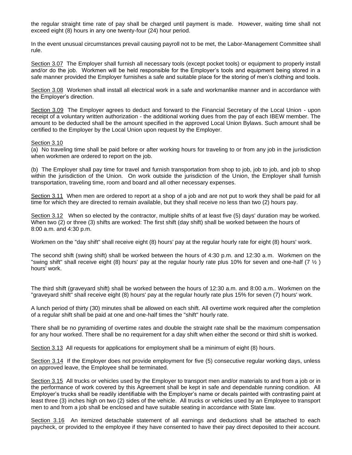the regular straight time rate of pay shall be charged until payment is made. However, waiting time shall not exceed eight (8) hours in any one twenty-four (24) hour period.

In the event unusual circumstances prevail causing payroll not to be met, the Labor-Management Committee shall rule.

Section 3.07 The Employer shall furnish all necessary tools (except pocket tools) or equipment to properly install and/or do the job. Workmen will be held responsible for the Employer's tools and equipment being stored in a safe manner provided the Employer furnishes a safe and suitable place for the storing of men's clothing and tools.

Section 3.08 Workmen shall install all electrical work in a safe and workmanlike manner and in accordance with the Employer's direction.

Section 3.09 The Employer agrees to deduct and forward to the Financial Secretary of the Local Union - upon receipt of a voluntary written authorization - the additional working dues from the pay of each IBEW member. The amount to be deducted shall be the amount specified in the approved Local Union Bylaws. Such amount shall be certified to the Employer by the Local Union upon request by the Employer.

#### Section 3.10

(a) No traveling time shall be paid before or after working hours for traveling to or from any job in the jurisdiction when workmen are ordered to report on the job.

(b) The Employer shall pay time for travel and furnish transportation from shop to job, job to job, and job to shop within the jurisdiction of the Union. On work outside the jurisdiction of the Union, the Employer shall furnish transportation, traveling time, room and board and all other necessary expenses.

Section 3.11 When men are ordered to report at a shop of a job and are not put to work they shall be paid for all time for which they are directed to remain available, but they shall receive no less than two (2) hours pay.

Section 3.12 When so elected by the contractor, multiple shifts of at least five (5) days' duration may be worked. When two (2) or three (3) shifts are worked: The first shift (day shift) shall be worked between the hours of 8:00 a.m. and 4:30 p.m.

Workmen on the "day shift" shall receive eight (8) hours' pay at the regular hourly rate for eight (8) hours' work.

The second shift (swing shift) shall be worked between the hours of 4:30 p.m. and 12:30 a.m. Workmen on the "swing shift" shall receive eight (8) hours' pay at the regular hourly rate plus 10% for seven and one-half (7  $\frac{1}{2}$ ) hours' work.

The third shift (graveyard shift) shall be worked between the hours of 12:30 a.m. and 8:00 a.m.. Workmen on the "graveyard shift" shall receive eight (8) hours' pay at the regular hourly rate plus 15% for seven (7) hours' work.

A lunch period of thirty (30) minutes shall be allowed on each shift. All overtime work required after the completion of a regular shift shall be paid at one and one-half times the "shift" hourly rate.

There shall be no pyramiding of overtime rates and double the straight rate shall be the maximum compensation for any hour worked. There shall be no requirement for a day shift when either the second or third shift is worked.

Section 3.13 All requests for applications for employment shall be a minimum of eight (8) hours.

Section 3.14 If the Employer does not provide employment for five (5) consecutive regular working days, unless on approved leave, the Employee shall be terminated.

Section 3.15 All trucks or vehicles used by the Employer to transport men and/or materials to and from a job or in the performance of work covered by this Agreement shall be kept in safe and dependable running condition. All Employer's trucks shall be readily identifiable with the Employer's name or decals painted with contrasting paint at least three (3) inches high on two (2) sides of the vehicle. All trucks or vehicles used by an Employee to transport men to and from a job shall be enclosed and have suitable seating in accordance with State law.

Section 3.16 An itemized detachable statement of all earnings and deductions shall be attached to each paycheck, or provided to the employee if they have consented to have their pay direct deposited to their account.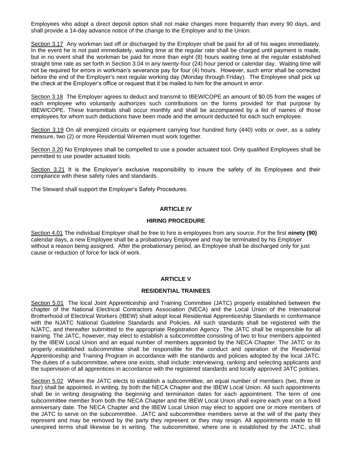Employees who adopt a direct deposit option shall not make changes more frequently than every 90 days, and shall provide a 14-day advance notice of the change to the Employer and to the Union.

Section 3.17 Any workman laid off or discharged by the Employer shall be paid for all of his wages immediately. In the event he is not paid immediately, waiting time at the regular rate shall be charged until payment is made, but in no event shall the workman be paid for more than eight (8) hours waiting time at the regular established straight time rate as set forth in Section 3.04 in any twenty-four (24) hour period or calendar day. Waiting time will not be required for errors in workman's severance pay for four (4) hours. However, such error shall be corrected before the end of the Employer's next regular working day (Monday through Friday). The Employee shall pick up the check at the Employer's office or request that it be mailed to him for the amount in error.

Section 3.18 The Employer agrees to deduct and transmit to IBEW/COPE an amount of \$0.05 from the wages of each employee who voluntarily authorizes such contributions on the forms provided for that purpose by IBEW/COPE. These transmittals shall occur monthly and shall be accompanied by a list of names of those employees for whom such deductions have been made and the amount deducted for each such employee.

Section 3.19 On all energized circuits or equipment carrying four hundred forty (440) volts or over, as a safety measure, two (2) or more Residential Wiremen must work together.

Section 3.20 No Employees shall be compelled to use a powder actuated tool. Only qualified Employees shall be permitted to use powder actuated tools.

Section 3.21 It is the Employer's exclusive responsibility to insure the safety of its Employees and their compliance with these safety rules and standards.

The Steward shall support the Employer's Safety Procedures.

## **ARTICLE IV**

#### **HIRING PROCEDURE**

Section 4.01 The individual Employer shall be free to hire is employees from any source. For the first **ninety (90)** calendar days, a new Employee shall be a probationary Employee and may be terminated by his Employer without a reason being assigned. After the probationary period, an Employee shall be discharged only for just cause or reduction of force for lack of work.

## **ARTICLE V**

#### **RESIDENTIAL TRAINEES**

Section 5.01 The local Joint Apprenticeship and Training Committee (JATC) properly established between the chapter of the National Electrical Contractors Association (NECA) and the Local Union of the International Brotherhood of Electrical Workers (IBEW) shall adopt local Residential Apprenticeship Standards in conformance with the NJATC National Guideline Standards and Policies. All such standards shall be registered with the NJATC, and thereafter submitted to the appropriate Registration Agency. The JATC shall be responsible for all training. The JATC, however, may elect to establish a subcommittee consisting of two to four members appointed by the IBEW Local Union and an equal number of members appointed by the NECA Chapter. The JATC or its properly established subcommittee shall be responsible for the conduct and operation of the Residential Apprenticeship and Training Program in accordance with the standards and policies adopted by the local JATC. The duties of a subcommittee, where one exists, shall include: interviewing, ranking and selecting applicants and the supervision of all apprentices in accordance with the registered standards and locally approved JATC policies.

Section 5.02 Where the JATC elects to establish a subcommittee, an equal number of members (two, three or four) shall be appointed, in writing, by both the NECA Chapter and the IBEW Local Union. All such appointments shall be in writing designating the beginning and termination dates for each appointment. The term of one subcommittee member from both the NECA Chapter and the IBEW Local Union shall expire each year on a fixed anniversary date. The NECA Chapter and the IBEW Local Union may elect to appoint one or more members of the JATC to serve on the subcommittee. JATC and subcommittee members serve at the will of the party they represent and may be removed by the party they represent or they may resign. All appointments made to fill unexpired terms shall likewise be in writing. The subcommittee, where one is established by the JATC, shall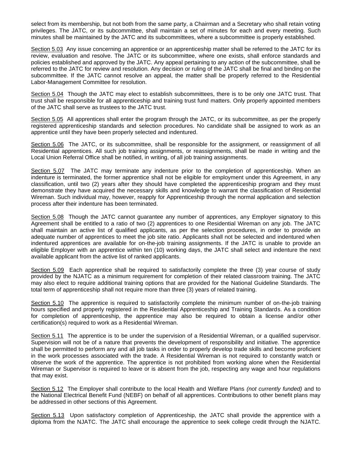select from its membership, but not both from the same party, a Chairman and a Secretary who shall retain voting privileges. The JATC, or its subcommittee, shall maintain a set of minutes for each and every meeting. Such minutes shall be maintained by the JATC and its subcommittees, where a subcommittee is properly established.

Section 5.03 Any issue concerning an apprentice or an apprenticeship matter shall be referred to the JATC for its review, evaluation and resolve. The JATC or its subcommittee, where one exists, shall enforce standards and policies established and approved by the JATC. Any appeal pertaining to any action of the subcommittee, shall be referred to the JATC for review and resolution. Any decision or ruling of the JATC shall be final and binding on the subcommittee. If the JATC cannot resolve an appeal, the matter shall be properly referred to the Residential Labor-Management Committee for resolution.

Section 5.04 Though the JATC may elect to establish subcommittees, there is to be only one JATC trust. That trust shall be responsible for all apprenticeship and training trust fund matters. Only properly appointed members of the JATC shall serve as trustees to the JATC trust.

Section 5.05 All apprentices shall enter the program through the JATC, or its subcommittee, as per the properly registered apprenticeship standards and selection procedures. No candidate shall be assigned to work as an apprentice until they have been properly selected and indentured.

Section 5.06 The JATC, or its subcommittee, shall be responsible for the assignment, or reassignment of all Residential apprentices. All such job training assignments, or reassignments, shall be made in writing and the Local Union Referral Office shall be notified, in writing, of all job training assignments.

Section 5.07 The JATC may terminate any indenture prior to the completion of apprenticeship. When an indenture is terminated, the former apprentice shall not be eligible for employment under this Agreement, in any classification, until two (2) years after they should have completed the apprenticeship program and they must demonstrate they have acquired the necessary skills and knowledge to warrant the classification of Residential Wireman. Such individual may, however, reapply for Apprenticeship through the normal application and selection process after their indenture has been terminated.

Section 5.08 Though the JATC cannot guarantee any number of apprentices, any Employer signatory to this Agreement shall be entitled to a ratio of two (2) apprentices to one Residential Wireman on any job. The JATC shall maintain an active list of qualified applicants, as per the selection procedures, in order to provide an adequate number of apprentices to meet the job site ratio. Applicants shall not be selected and indentured when indentured apprentices are available for on-the-job training assignments. If the JATC is unable to provide an eligible Employer with an apprentice within ten (10) working days, the JATC shall select and indenture the next available applicant from the active list of ranked applicants.

Section 5.09 Each apprentice shall be required to satisfactorily complete the three (3) year course of study provided by the NJATC as a minimum requirement for completion of their related classroom training. The JATC may also elect to require additional training options that are provided for the National Guideline Standards. The total term of apprenticeship shall not require more than three (3) years of related training.

Section 5.10 The apprentice is required to satisfactorily complete the minimum number of on-the-job training hours specified and properly registered in the Residential Apprenticeship and Training Standards. As a condition for completion of apprenticeship, the apprentice may also be required to obtain a license and/or other certification(s) required to work as a Residential Wireman.

Section 5.11 The apprentice is to be under the supervision of a Residential Wireman, or a qualified supervisor. Supervision will not be of a nature that prevents the development of responsibility and initiative. The apprentice shall be permitted to perform any and all job tasks in order to properly develop trade skills and become proficient in the work processes associated with the trade. A Residential Wireman is not required to constantly watch or observe the work of the apprentice. The apprentice is not prohibited from working alone when the Residential Wireman or Supervisor is required to leave or is absent from the job, respecting any wage and hour regulations that may exist.

Section 5.12 The Employer shall contribute to the local Health and Welfare Plans *(not currently funded)* and to the National Electrical Benefit Fund (NEBF) on behalf of all apprentices. Contributions to other benefit plans may be addressed in other sections of this Agreement.

Section 5.13 Upon satisfactory completion of Apprenticeship, the JATC shall provide the apprentice with a diploma from the NJATC. The JATC shall encourage the apprentice to seek college credit through the NJATC.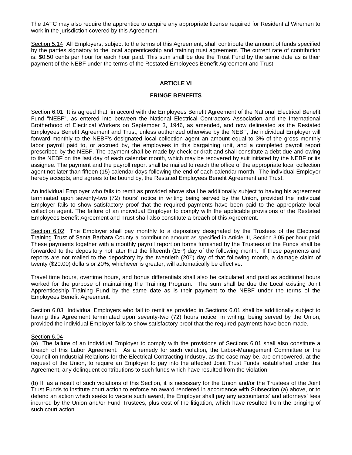The JATC may also require the apprentice to acquire any appropriate license required for Residential Wiremen to work in the jurisdiction covered by this Agreement.

Section 5.14 All Employers, subject to the terms of this Agreement, shall contribute the amount of funds specified by the parties signatory to the local apprenticeship and training trust agreement. The current rate of contribution is: \$0.50 cents per hour for each hour paid. This sum shall be due the Trust Fund by the same date as is their payment of the NEBF under the terms of the Restated Employees Benefit Agreement and Trust.

## **ARTICLE VI**

## **FRINGE BENEFITS**

Section 6.01 It is agreed that, in accord with the Employees Benefit Agreement of the National Electrical Benefit Fund "NEBF", as entered into between the National Electrical Contractors Association and the International Brotherhood of Electrical Workers on September 3, 1946, as amended, and now delineated as the Restated Employees Benefit Agreement and Trust, unless authorized otherwise by the NEBF, the individual Employer will forward monthly to the NEBF's designated local collection agent an amount equal to 3% of the gross monthly labor payroll paid to, or accrued by, the employees in this bargaining unit, and a completed payroll report prescribed by the NEBF. The payment shall be made by check or draft and shall constitute a debt due and owing to the NEBF on the last day of each calendar month, which may be recovered by suit initiated by the NEBF or its assignee. The payment and the payroll report shall be mailed to reach the office of the appropriate local collection agent not later than fifteen (15) calendar days following the end of each calendar month. The individual Employer hereby accepts, and agrees to be bound by, the Restated Employees Benefit Agreement and Trust.

An individual Employer who fails to remit as provided above shall be additionally subject to having his agreement terminated upon seventy-two (72) hours' notice in writing being served by the Union, provided the individual Employer fails to show satisfactory proof that the required payments have been paid to the appropriate local collection agent. The failure of an individual Employer to comply with the applicable provisions of the Restated Employees Benefit Agreement and Trust shall also constitute a breach of this Agreement.

Section 6.02 The Employer shall pay monthly to a depository designated by the Trustees of the Electrical Training Trust of Santa Barbara County a contribution amount as specified in Article III, Section 3.05 per hour paid. These payments together with a monthly payroll report on forms furnished by the Trustees of the Funds shall be forwarded to the depository not later that the fifteenth (15<sup>th</sup>) day of the following month. If these payments and reports are not mailed to the depository by the twentieth  $(20<sup>th</sup>)$  day of that following month, a damage claim of twenty (\$20.00) dollars or 20%, whichever is greater, will automatically be effective.

Travel time hours, overtime hours, and bonus differentials shall also be calculated and paid as additional hours worked for the purpose of maintaining the Training Program. The sum shall be due the Local existing Joint Apprenticeship Training Fund by the same date as is their payment to the NEBF under the terms of the Employees Benefit Agreement.

Section 6.03 Individual Employers who fail to remit as provided in Sections 6.01 shall be additionally subject to having this Agreement terminated upon seventy-two (72) hours notice, in writing, being served by the Union, provided the individual Employer fails to show satisfactory proof that the required payments have been made.

## Section 6.04

(a) The failure of an individual Employer to comply with the provisions of Sections 6.01 shall also constitute a breach of this Labor Agreement. As a remedy for such violation, the Labor-Management Committee or the Council on Industrial Relations for the Electrical Contracting Industry, as the case may be, are empowered, at the request of the Union, to require an Employer to pay into the affected Joint Trust Funds, established under this Agreement, any delinquent contributions to such funds which have resulted from the violation.

(b) If, as a result of such violations of this Section, it is necessary for the Union and/or the Trustees of the Joint Trust Funds to institute court action to enforce an award rendered in accordance with Subsection (a) above, or to defend an action which seeks to vacate such award, the Employer shall pay any accountants' and attorneys' fees incurred by the Union and/or Fund Trustees, plus cost of the litigation, which have resulted from the bringing of such court action.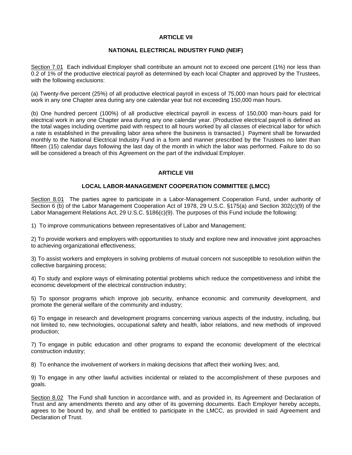## **ARTICLE VII**

## **NATIONAL ELECTRICAL INDUSTRY FUND (NEIF)**

Section 7.01 Each individual Employer shall contribute an amount not to exceed one percent (1%) nor less than 0.2 of 1% of the productive electrical payroll as determined by each local Chapter and approved by the Trustees, with the following exclusions:

(a) Twenty-five percent (25%) of all productive electrical payroll in excess of 75,000 man hours paid for electrical work in any one Chapter area during any one calendar year but not exceeding 150,000 man hours.

(b) One hundred percent (100%) of all productive electrical payroll in excess of 150,000 man-hours paid for electrical work in any one Chapter area during any one calendar year. (Productive electrical payroll is defined as the total wages including overtime paid with respect to all hours worked by all classes of electrical labor for which a rate is established in the prevailing labor area where the business is transacted.) Payment shall be forwarded monthly to the National Electrical Industry Fund in a form and manner prescribed by the Trustees no later than fifteen (15) calendar days following the last day of the month in which the labor was performed. Failure to do so will be considered a breach of this Agreement on the part of the individual Employer.

## **ARTICLE VIII**

#### **LOCAL LABOR-MANAGEMENT COOPERATION COMMITTEE (LMCC)**

Section 8.01 The parties agree to participate in a Labor-Management Cooperation Fund, under authority of Section 6 (b) of the Labor Management Cooperation Act of 1978, 29 U.S.C. §175(a) and Section 302(c)(9) of the Labor Management Relations Act, 29 U.S.C. §186(c)(9). The purposes of this Fund include the following:

1) To improve communications between representatives of Labor and Management;

2) To provide workers and employers with opportunities to study and explore new and innovative joint approaches to achieving organizational effectiveness;

3) To assist workers and employers in solving problems of mutual concern not susceptible to resolution within the collective bargaining process;

4) To study and explore ways of eliminating potential problems which reduce the competitiveness and inhibit the economic development of the electrical construction industry;

5) To sponsor programs which improve job security, enhance economic and community development, and promote the general welfare of the community and industry;

6) To engage in research and development programs concerning various aspects of the industry, including, but not limited to, new technologies, occupational safety and health, labor relations, and new methods of improved production;

7) To engage in public education and other programs to expand the economic development of the electrical construction industry;

8) To enhance the involvement of workers in making decisions that affect their working lives; and,

9) To engage in any other lawful activities incidental or related to the accomplishment of these purposes and goals.

Section 8.02 The Fund shall function in accordance with, and as provided in, its Agreement and Declaration of Trust and any amendments thereto and any other of its governing documents. Each Employer hereby accepts, agrees to be bound by, and shall be entitled to participate in the LMCC, as provided in said Agreement and Declaration of Trust.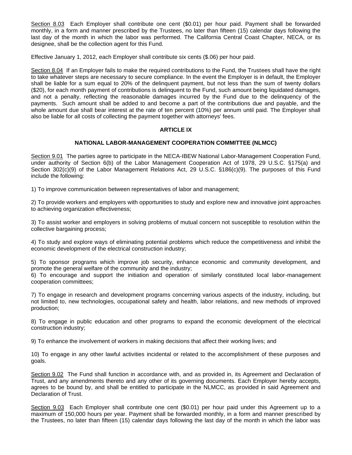Section 8.03 Each Employer shall contribute one cent (\$0.01) per hour paid. Payment shall be forwarded monthly, in a form and manner prescribed by the Trustees, no later than fifteen (15) calendar days following the last day of the month in which the labor was performed. The California Central Coast Chapter, NECA, or its designee, shall be the collection agent for this Fund.

Effective January 1, 2012, each Employer shall contribute six cents (\$.06) per hour paid.

Section 8.04 If an Employer fails to make the required contributions to the Fund, the Trustees shall have the right to take whatever steps are necessary to secure compliance. In the event the Employer is in default, the Employer shall be liable for a sum equal to 20% of the delinquent payment, but not less than the sum of twenty dollars (\$20), for each month payment of contributions is delinquent to the Fund, such amount being liquidated damages, and not a penalty, reflecting the reasonable damages incurred by the Fund due to the delinquency of the payments. Such amount shall be added to and become a part of the contributions due and payable, and the whole amount due shall bear interest at the rate of ten percent (10%) per annum until paid. The Employer shall also be liable for all costs of collecting the payment together with attorneys' fees.

## **ARTICLE IX**

## **NATIONAL LABOR-MANAGEMENT COOPERATION COMMITTEE (NLMCC)**

Section 9.01 The parties agree to participate in the NECA-IBEW National Labor-Management Cooperation Fund, under authority of Section 6(b) of the Labor Management Cooperation Act of 1978, 29 U.S.C. §175(a) and Section 302(c)(9) of the Labor Management Relations Act, 29 U.S.C. §186(c)(9). The purposes of this Fund include the following:

1) To improve communication between representatives of labor and management;

2) To provide workers and employers with opportunities to study and explore new and innovative joint approaches to achieving organization effectiveness;

3) To assist worker and employers in solving problems of mutual concern not susceptible to resolution within the collective bargaining process;

4) To study and explore ways of eliminating potential problems which reduce the competitiveness and inhibit the economic development of the electrical construction industry;

5) To sponsor programs which improve job security, enhance economic and community development, and promote the general welfare of the community and the industry;

6) To encourage and support the initiation and operation of similarly constituted local labor-management cooperation committees;

7) To engage in research and development programs concerning various aspects of the industry, including, but not limited to, new technologies, occupational safety and health, labor relations, and new methods of improved production;

8) To engage in public education and other programs to expand the economic development of the electrical construction industry;

9) To enhance the involvement of workers in making decisions that affect their working lives; and

10) To engage in any other lawful activities incidental or related to the accomplishment of these purposes and goals.

Section 9.02 The Fund shall function in accordance with, and as provided in, its Agreement and Declaration of Trust, and any amendments thereto and any other of its governing documents. Each Employer hereby accepts, agrees to be bound by, and shall be entitled to participate in the NLMCC, as provided in said Agreement and Declaration of Trust.

Section 9.03 Each Employer shall contribute one cent (\$0.01) per hour paid under this Agreement up to a maximum of 150,000 hours per year. Payment shall be forwarded monthly, in a form and manner prescribed by the Trustees, no later than fifteen (15) calendar days following the last day of the month in which the labor was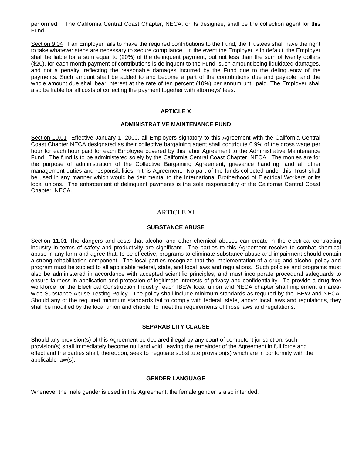performed. The California Central Coast Chapter, NECA, or its designee, shall be the collection agent for this Fund.

Section 9.04 If an Employer fails to make the required contributions to the Fund, the Trustees shall have the right to take whatever steps are necessary to secure compliance. In the event the Employer is in default, the Employer shall be liable for a sum equal to (20%) of the delinquent payment, but not less than the sum of twenty dollars (\$20), for each month payment of contributions is delinquent to the Fund, such amount being liquidated damages, and not a penalty, reflecting the reasonable damages incurred by the Fund due to the delinquency of the payments. Such amount shall be added to and become a part of the contributions due and payable, and the whole amount due shall bear interest at the rate of ten percent (10%) per annum until paid. The Employer shall also be liable for all costs of collecting the payment together with attorneys' fees.

## **ARTICLE X**

#### **ADMINISTRATIVE MAINTENANCE FUND**

Section 10.01 Effective January 1, 2000, all Employers signatory to this Agreement with the California Central Coast Chapter NECA designated as their collective bargaining agent shall contribute 0.9% of the gross wage per hour for each hour paid for each Employee covered by this labor Agreement to the Administrative Maintenance Fund. The fund is to be administered solely by the California Central Coast Chapter, NECA. The monies are for the purpose of administration of the Collective Bargaining Agreement, grievance handling, and all other management duties and responsibilities in this Agreement. No part of the funds collected under this Trust shall be used in any manner which would be detrimental to the International Brotherhood of Electrical Workers or its local unions. The enforcement of delinquent payments is the sole responsibility of the California Central Coast Chapter, NECA.

## ARTICLE XI

### **SUBSTANCE ABUSE**

Section 11.01 The dangers and costs that alcohol and other chemical abuses can create in the electrical contracting industry in terms of safety and productivity are significant. The parties to this Agreement resolve to combat chemical abuse in any form and agree that, to be effective, programs to eliminate substance abuse and impairment should contain a strong rehabilitation component. The local parties recognize that the implementation of a drug and alcohol policy and program must be subject to all applicable federal, state, and local laws and regulations. Such policies and programs must also be administered in accordance with accepted scientific principles, and must incorporate procedural safeguards to ensure fairness in application and protection of legitimate interests of privacy and confidentiality. To provide a drug-free workforce for the Electrical Construction Industry, each IBEW local union and NECA chapter shall implement an areawide Substance Abuse Testing Policy. The policy shall include minimum standards as required by the IBEW and NECA. Should any of the required minimum standards fail to comply with federal, state, and/or local laws and regulations, they shall be modified by the local union and chapter to meet the requirements of those laws and regulations.

#### **SEPARABILITY CLAUSE**

Should any provision(s) of this Agreement be declared illegal by any court of competent jurisdiction, such provision(s) shall immediately become null and void, leaving the remainder of the Agreement in full force and effect and the parties shall, thereupon, seek to negotiate substitute provision(s) which are in conformity with the applicable law(s).

## **GENDER LANGUAGE**

Whenever the male gender is used in this Agreement, the female gender is also intended.